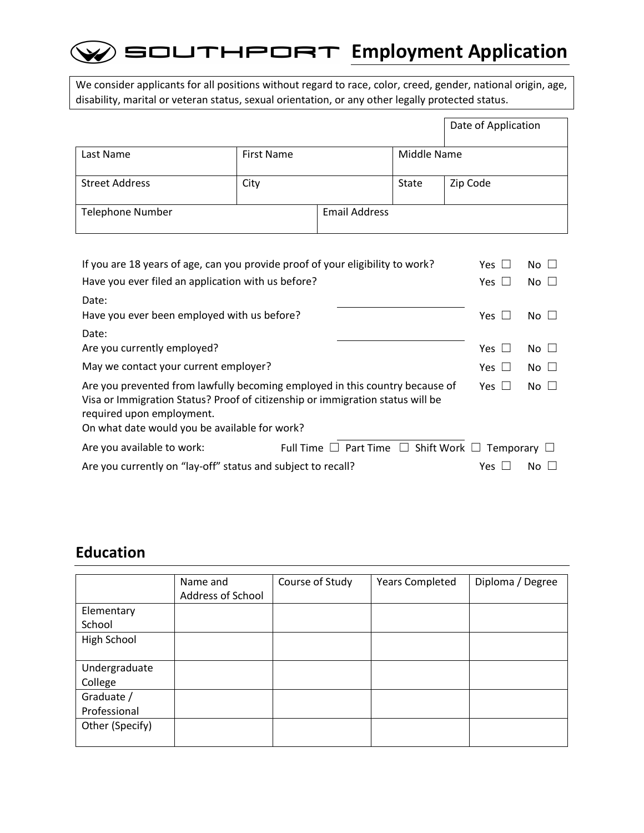## $\mathcal D$  southeort Employment Application

We consider applicants for all positions without regard to race, color, creed, gender, national origin, age, disability, marital or veteran status, sexual orientation, or any other legally protected status.

|                         |            |                      |             | Date of Application |
|-------------------------|------------|----------------------|-------------|---------------------|
| Last Name               | First Name |                      | Middle Name |                     |
| <b>Street Address</b>   | City       |                      | State       | Zip Code            |
| <b>Telephone Number</b> |            | <b>Email Address</b> |             |                     |

| If you are 18 years of age, can you provide proof of your eligibility to work?                                                                                                                                                                                          |                                                                      |               | No $\square$ |  |
|-------------------------------------------------------------------------------------------------------------------------------------------------------------------------------------------------------------------------------------------------------------------------|----------------------------------------------------------------------|---------------|--------------|--|
| Have you ever filed an application with us before?                                                                                                                                                                                                                      |                                                                      | Yes $\square$ | $No$ $\Box$  |  |
| Date:<br>Have you ever been employed with us before?                                                                                                                                                                                                                    |                                                                      | Yes $\Box$    | $No$ $\Box$  |  |
| Date:                                                                                                                                                                                                                                                                   |                                                                      |               |              |  |
| Are you currently employed?                                                                                                                                                                                                                                             |                                                                      | Yes $\Box$    | $No \Box$    |  |
| May we contact your current employer?                                                                                                                                                                                                                                   |                                                                      | Yes $\Box$    | $No$ $\Box$  |  |
| Are you prevented from lawfully becoming employed in this country because of<br>Yes $\Box$<br>$No \Box$<br>Visa or Immigration Status? Proof of citizenship or immigration status will be<br>required upon employment.<br>On what date would you be available for work? |                                                                      |               |              |  |
| Are you available to work:                                                                                                                                                                                                                                              | Full Time $\Box$ Part Time $\Box$ Shift Work $\Box$ Temporary $\Box$ |               |              |  |
| Are you currently on "lay-off" status and subject to recall?                                                                                                                                                                                                            |                                                                      |               | $No \ \Box$  |  |

### **Education**

|                 | Name and          | Course of Study | <b>Years Completed</b> | Diploma / Degree |
|-----------------|-------------------|-----------------|------------------------|------------------|
|                 | Address of School |                 |                        |                  |
| Elementary      |                   |                 |                        |                  |
| School          |                   |                 |                        |                  |
| High School     |                   |                 |                        |                  |
|                 |                   |                 |                        |                  |
| Undergraduate   |                   |                 |                        |                  |
| College         |                   |                 |                        |                  |
| Graduate /      |                   |                 |                        |                  |
| Professional    |                   |                 |                        |                  |
| Other (Specify) |                   |                 |                        |                  |
|                 |                   |                 |                        |                  |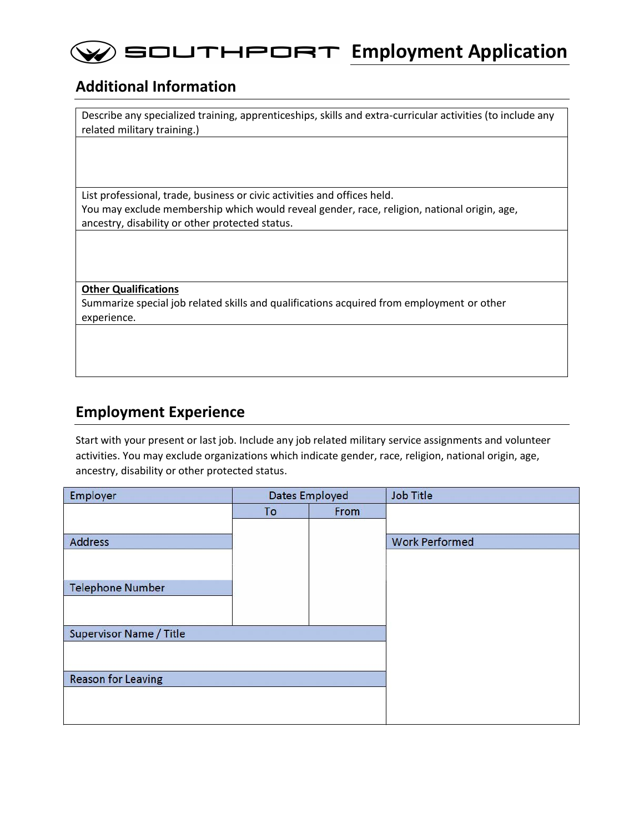## $\mathcal{D}$  southeort Employment Application

#### **Additional Information**

Describe any specialized training, apprenticeships, skills and extra-curricular activities (to include any related military training.)

List professional, trade, business or civic activities and offices held. You may exclude membership which would reveal gender, race, religion, national origin, age, ancestry, disability or other protected status.

**Other Qualifications**

Summarize special job related skills and qualifications acquired from employment or other experience.

#### **Employment Experience**

Start with your present or last job. Include any job related military service assignments and volunteer activities. You may exclude organizations which indicate gender, race, religion, national origin, age, ancestry, disability or other protected status.

| Employer                       | <b>Dates Employed</b> |      | <b>Job Title</b>      |
|--------------------------------|-----------------------|------|-----------------------|
|                                | To                    | From |                       |
|                                |                       |      |                       |
| <b>Address</b>                 |                       |      | <b>Work Performed</b> |
|                                |                       |      |                       |
|                                |                       |      |                       |
| <b>Telephone Number</b>        |                       |      |                       |
|                                |                       |      |                       |
|                                |                       |      |                       |
| <b>Supervisor Name / Title</b> |                       |      |                       |
|                                |                       |      |                       |
| <b>Reason for Leaving</b>      |                       |      |                       |
|                                |                       |      |                       |
|                                |                       |      |                       |
|                                |                       |      |                       |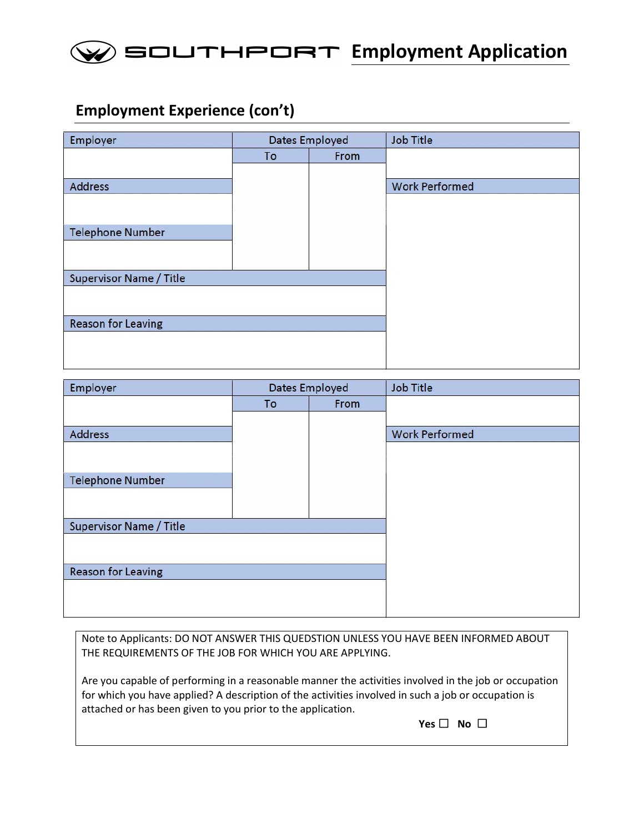

#### **Employment Experience (con't)**

| Employer                       | <b>Dates Employed</b> |      | <b>Job Title</b>      |
|--------------------------------|-----------------------|------|-----------------------|
|                                | To                    | From |                       |
|                                |                       |      |                       |
| Address                        |                       |      | <b>Work Performed</b> |
|                                |                       |      |                       |
|                                |                       |      |                       |
| <b>Telephone Number</b>        |                       |      |                       |
|                                |                       |      |                       |
|                                |                       |      |                       |
| <b>Supervisor Name / Title</b> |                       |      |                       |
|                                |                       |      |                       |
|                                |                       |      |                       |
| <b>Reason for Leaving</b>      |                       |      |                       |
|                                |                       |      |                       |
|                                |                       |      |                       |

| Employer                       | <b>Dates Employed</b> |      | <b>Job Title</b>      |
|--------------------------------|-----------------------|------|-----------------------|
|                                | To                    | From |                       |
|                                |                       |      |                       |
| Address                        |                       |      | <b>Work Performed</b> |
|                                |                       |      |                       |
|                                |                       |      |                       |
| <b>Telephone Number</b>        |                       |      |                       |
|                                |                       |      |                       |
|                                |                       |      |                       |
| <b>Supervisor Name / Title</b> |                       |      |                       |
|                                |                       |      |                       |
|                                |                       |      |                       |
| <b>Reason for Leaving</b>      |                       |      |                       |
|                                |                       |      |                       |
|                                |                       |      |                       |

Note to Applicants: DO NOT ANSWER THIS QUEDSTION UNLESS YOU HAVE BEEN INFORMED ABOUT THE REQUIREMENTS OF THE JOB FOR WHICH YOU ARE APPLYING.

Are you capable of performing in a reasonable manner the activities involved in the job or occupation for which you have applied? A description of the activities involved in such a job or occupation is attached or has been given to you prior to the application.

**Yes** ☐ **No** ☐